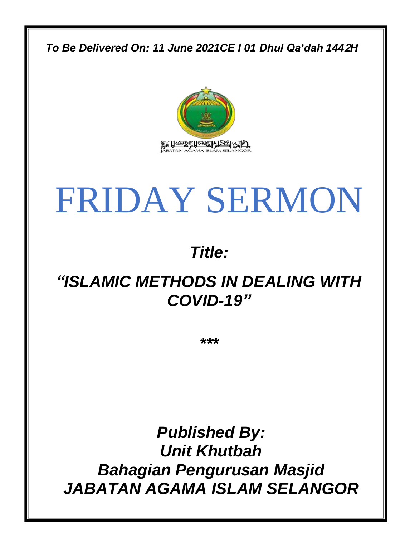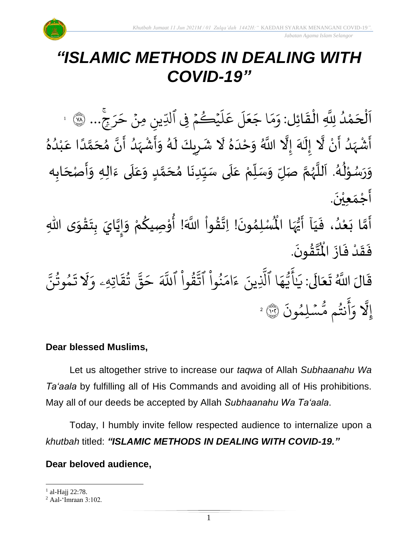

## *"ISLAMIC METHODS IN DEALING WITH COVID-19"*

 $\frac{1}{2}$ ن<br>ا اَلْحَمْدُ لِلَّهِ الْقَائِل: وَمَا جَعَلَ عَلَيْكُمْ فِي ٍ<br>ا ْ  $\overline{\phantom{a}}$ ْ  $\overline{\phantom{a}}$  $\frac{1}{2}$ ْ  $\frac{1}{2}$ ر َ  $\uplambda$ ِ<br>م ع ر<br>آ ل  $\frac{1}{2}$ ع  $\tilde{\phantom{a}}$ ا ج ِ<br>م بر<br>م  $\frac{1}{\alpha}$ وَمَا جَعَلَ عَلَيْكُمْ فِي ٱلدِّينِ مِنْ حَرَجٍّ ِ ر<br>ر  $\tilde{\phantom{a}}$ مِنْ حَرَجٍ... ۞ 1 ؚ<br>ۣ أَشْهَدُ أَنْ لَّا إِلَهَ إِلَّا اللَّهُ وَحْدَهُ لَا شَرِيكَ لَهُ وَأَشْهَدُ أَنَّ مُحَمَّدًا عَبْدُهُ  $\ddot{\phantom{0}}$ ِ<br>ُا  $\frac{1}{2}$ ۠<br>ؙ  $\ddot{\phantom{0}}$ ر<br>پنج َ<br>م  $\ddot{\phantom{0}}$  $\frac{1}{2}$ ِ<br>الإ ِ<br>په ا<br>ا  $\tilde{\cdot}$  $\mathbf{r}$ ٍ<br>ٌ ِ<br>ُا ់<br>( ِ<br>م ً<br>ا ั<br>ฉ  $\frac{1}{2}$ َ  $\ddot{\phantom{0}}$  $\frac{1}{\sqrt{2}}$  $\frac{1}{2}$ ْ ر<br>پ  $\frac{1}{2}$ ا<br>ا ِ<br>ا  $\sum$  $\mathbf{r}$ وَرَسُوْلُهُ. اَللَّهُمَّ صَلِّ وَسَلِّمْ عَلَى سَيِّدِنَا مُحَمَّدٍ وَعَلَى ءَالِهِ وَأَصْحَابِه ِّ  $\frac{1}{2}$  $\frac{1}{2}$ ี<br>ถึ ر<br>ر<br>ر ً<br>ا  $\overline{\phantom{a}}$ ر<br>م ይ<br>የ ٝ<br>ؙ ر<br>ر<br>ر  $\ddot{\phantom{0}}$  $\frac{1}{2}$ ِ<br>آ ِ<br>م ๋<br>ጎ ا<br>با ِّ  $\frac{1}{2}$  $\frac{1}{2}$ <u>لم</u> ั<br>ว َ ِ<br>آ ِ<br>م  $\ddot{\phantom{0}}$ َ  $\ddot{\phantom{0}}$  $\tilde{\cdot}$  $\ddot{\phantom{0}}$ أَجْمَع<u>ِيْن</u>َ. ֦֧<u>֚</u>  $\frac{1}{2}$ ֦֧֦֧֦֧֦֧֦֧֦֧֦֝֟֝֟֟֟֟֟֟֟֟֟֟֟֟֕֓֕֝֟֓֕֕֟֓֕֝֟֓֕֝֟֓֕֟֓֟֓֟֓֟֓֟֓֟֓֟֓֟֓֟֓֟֓֟  $\ddot{\phantom{0}}$  $\ddot{\phantom{0}}$ ُ<br>ُ''

ِّ<br>أَمَّا بَعْدُ، فَيَا أَيُّهَا الْمُسْلِمُونَ! اِتَّقُواْ اللَّهَ! أُوْصِيكُمْ وَإِيَّايَ بِتَقْوَى اللَّهِ  $\frac{1}{1}$  $\ddot{\cdot}$ ر<br>ا ْ  $\ddot{\phantom{0}}$ ี<br>วั  $\ddot{\ }$ ֦֧֟<u>֦</u>  $\ddot{\phantom{0}}$  $\frac{1}{2}$ َ │<br>;;  $\tilde{\cdot}$ ر<br>م י<br>י ٝ<br>ا ُ<br>ُ  $\frac{1}{2}$  $\ddot{\phantom{0}}$ ๋<br>ำ مَّهَا الْمُأْ ِ<br>ياس<br>مرا ا<br>وُل .  $\ddot{\phantom{0}}$ ؾڤۏڹؘ ፟<br>፝ ا<br>المعدد<br>جو ُ<br>ا فَقَدْ فَازَ الْمُ  $\ddot{\cdot}$  $\ddot{\cdot}$ ٝ<br>ؙ  $\frac{1}{2}$  $\ddot{\cdot}$ 

قَالَ اللَّهُ تَعَالَى: يَـٰ ً<br>الح َ  $\ddot{\phantom{0}}$  $\ddot{\mathbf{r}}$ ِ<br>په يَايَّهَا ر<br>م ه و<br>د ت<br>ڊ ِ<br>ع أَيَّهَا ٱلَّذِينَ بة<br>أ لَّذِينَ ءَامَنُوا ْ و<br>ڊ ِ<br>م ام ्<br>० ءَامَنُوا اتَّقُوا ْ ور بر<br>مو تَّقُوا ا ذَ للَّهَ حَقَّ تُقَاتِهِ  $\ddot{\tilde{}}$ يَ<br>تق و<br>به لية<br>مو قة  $\tilde{\phantom{a}}$ حَقَّ ثَقَاتِهِۦ  $\frac{1}{\alpha}$ و ّل ذ  $\ddot{\phantom{0}}$ مُوثَنَّ و<br>په و  $\ddot{\cdot}$ ت إي ّل ہ<br>ال  $\ddot{\cdot}$ سْلِمُونَ و  $\ddot{\phantom{0}}$ و<br>مە نتُم مَّ و<br>به ِ<br>ج أ وَأَنتُم مُّسۡلِمُونَ ۞ 2

### **Dear blessed Muslims,**

Let us altogether strive to increase our *taqwa* of Allah *Subhaanahu Wa Ta'aala* by fulfilling all of His Commands and avoiding all of His prohibitions. May all of our deeds be accepted by Allah *Subhaanahu Wa Ta'aala*.

Today, I humbly invite fellow respected audience to internalize upon a *khutbah* titled: *"ISLAMIC METHODS IN DEALING WITH COVID-19."*

### **Dear beloved audience,**

 $^{1}$  al-Hajj 22:78.

 $2$  Aal-'Imraan 3:102.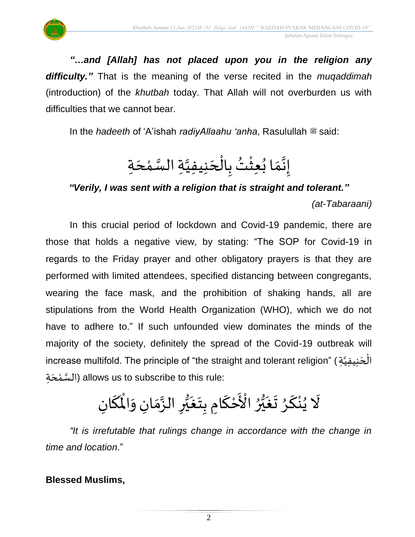

*"…and [Allah] has not placed upon you in the religion any difficulty."* That is the meaning of the verse recited in the *muqaddimah* (introduction) of the *khutbah* today. That Allah will not overburden us with difficulties that we cannot bear.

In the *hadeeth* of 'A'ishah *radiyAllaahu 'anha*, Rasulullah  $\ddot{a}$  said:

 $\frac{1}{2}$ إِنَّمَا بُعِثْتُ بِالْحَنِيفِيَّةِ السَّمْحَةِ  $\ddot{\tilde{}}$  $\frac{1}{2}$ }<br>•• ់<br>**រ** ُ<br>≀ ֦֧֦֧֦֧֦֧֦֧֦֧֧֝֝֜֓֓֓<u>֚</u>  $\overline{\phantom{a}}$  $\overline{\phantom{a}}$ ់<br>ត ن<br>س ن<br>ا

*"Verily, I was sent with a religion that is straight and tolerant." (at-Tabaraani)*

In this crucial period of lockdown and Covid-19 pandemic, there are those that holds a negative view, by stating: "The SOP for Covid-19 in regards to the Friday prayer and other obligatory prayers is that they are performed with limited attendees, specified distancing between congregants, wearing the face mask, and the prohibition of shaking hands, all are stipulations from the World Health Organization (WHO), which we do not have to adhere to." If such unfounded view dominates the minds of the majority of the society, definitely the spread of the Covid-19 outbreak will increase multifold. The principle of "the straight and tolerant religion" (الْحَنِيفِيَّةِ ْ  $\overline{\phantom{a}}$ َ السَّمْحَةِ) allows us to subscribe to this rule:  $\overline{\phantom{a}}$ ់<br>៖

### $\ddot{\phantom{0}}$ لَا يُنْكَرُ تَغَ  $\ddot{\phantom{0}}$ ر<br>د ์<br>-<br>-ْ ُ<br>≀  $\ddot{\phantom{0}}$ ر<br>ر<br>ا و<br>1 ة<br>م ع رُ الْأَحْكَامِ بِتَغَيُّرِ الزَّمَانِ وَالْمُكَانِ ፟<br>፟ ֦֧֦֧֦֧<u>֦</u> ์<br>-<br>- $\ddot{\phantom{0}}$  $\ddot{\phantom{0}}$  $\ddot{\phantom{0}}$ ្  $\sum_{i=1}^{n}$ ر<br>وفات<br>ا و<br>1  $\frac{1}{2}$ .<br>م  $\mathbf{r}$ اْل و  $\tilde{\cdot}$

*"It is irrefutable that rulings change in accordance with the change in time and location*."

### **Blessed Muslims,**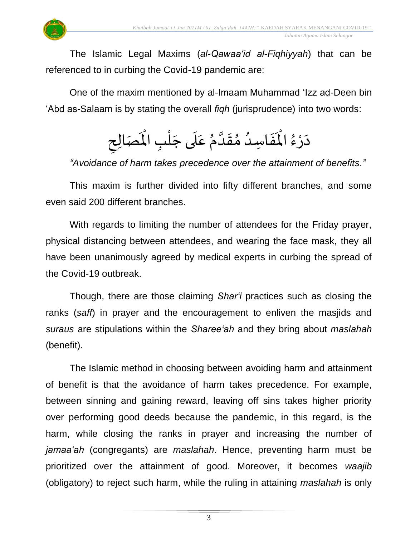

The Islamic Legal Maxims (*al-Qawaa'id al-Fiqhiyyah*) that can be referenced to in curbing the Covid-19 pandemic are:

One of the maxim mentioned by al-Imaam Muhammad 'Izz ad-Deen bin 'Abd as-Salaam is by stating the overall *fiqh* (jurisprudence) into two words:

### $\sim$ دَرْءُ ْ ر<br>م  $\mathbf{r}^{\circ}$ الْمَفَاسِدُ مُقَدَّمُ عَلَى جَلْبِ  $\ddot{\cdot}$ ِ<br>ا  $\frac{1}{2}$  $\frac{1}{2}$ ن<br>ا  $\frac{1}{2}$ ِ<br>م  $\ddot{\phantom{0}}$  $\overline{\phantom{a}}$ ់<br>(  $\mathbf{r}^{\circ}$ المُصَالِحِ  $\frac{1}{2}$

*"Avoidance of harm takes precedence over the attainment of benefits."*

This maxim is further divided into fifty different branches, and some even said 200 different branches.

With regards to limiting the number of attendees for the Friday prayer, physical distancing between attendees, and wearing the face mask, they all have been unanimously agreed by medical experts in curbing the spread of the Covid-19 outbreak.

Though, there are those claiming *Shar'i* practices such as closing the ranks (*saff*) in prayer and the encouragement to enliven the masjids and *suraus* are stipulations within the *Sharee'ah* and they bring about *maslahah* (benefit).

The Islamic method in choosing between avoiding harm and attainment of benefit is that the avoidance of harm takes precedence. For example, between sinning and gaining reward, leaving off sins takes higher priority over performing good deeds because the pandemic, in this regard, is the harm, while closing the ranks in prayer and increasing the number of *jamaa'ah* (congregants) are *maslahah*. Hence, preventing harm must be prioritized over the attainment of good. Moreover, it becomes *waajib* (obligatory) to reject such harm, while the ruling in attaining *maslahah* is only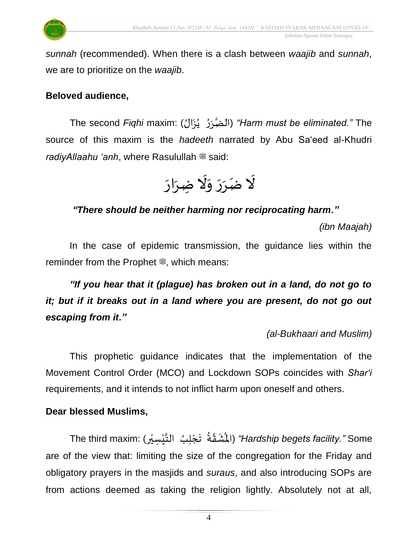

*sunnah* (recommended). When there is a clash between *waajib* and *sunnah*, we are to prioritize on the *waajib*.

### **Beloved audience,**

The second *Fiqhi* maxim: ( الضَ ر ر ي ز ُال*"* ( *Harm must be eliminated."* The  $\ddot{\cdot}$ ؚ<br>ؙ ُ  $\ddot{\cdot}$ source of this maxim is the *hadeeth* narrated by Abu Sa'eed al-Khudri *radiyAllaahu 'anh*, where Rasulullah  $\ddot{\mathscr{E}}$  said:



### *"There should be neither harming nor reciprocating harm."*

*(ibn Maajah)*

In the case of epidemic transmission, the guidance lies within the reminder from the Prophet . which means:

*"If you hear that it (plague) has broken out in a land, do not go to it; but if it breaks out in a land where you are present, do not go out escaping from it."*

*(al-Bukhaari and Muslim)*

This prophetic guidance indicates that the implementation of the Movement Control Order (MCO) and Lockdown SOPs coincides with *Shar'i* requirements, and it intends to not inflict harm upon oneself and others.

### **Dear blessed Muslims,**

Ha*rdship begets facility."* Some (الْمُ*ثَـقَ*ّةُ ۚ تَجْلِبُ التَّيْسِيْرِ) "Hards*hip begets facility."* Some ِ<br>ا  $\ddot{\phantom{0}}$ ្ន ُ<br>پ  $\ddot{\phantom{0}}$ ֦֧<u>֫</u> ُ  $\frac{1}{2}$ ْ ់<br>**:** are of the view that: limiting the size of the congregation for the Friday and obligatory prayers in the masjids and *suraus*, and also introducing SOPs are from actions deemed as taking the religion lightly. Absolutely not at all,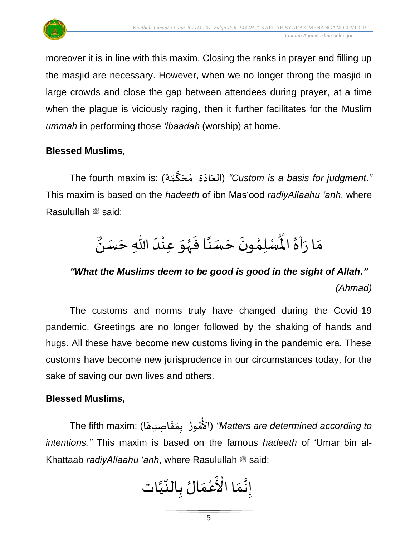

moreover it is in line with this maxim. Closing the ranks in prayer and filling up the masjid are necessary. However, when we no longer throng the masjid in large crowds and close the gap between attendees during prayer, at a time when the plague is viciously raging, then it further facilitates for the Muslim *ummah* in performing those *'ibaadah* (worship) at home.

### **Blessed Muslims,**

...<br>*"Custom is a basis for judgment." (*العَادَة مُحَكَّمَة) "C*ustom is a basis for judgment*  $\ddot{\phantom{0}}$ ๋<br>ጎ  $\overline{\phantom{a}}$ ِ  $\overline{\phantom{a}}$ This maxim is based on the *hadeeth* of ibn Mas'ood *radiyAllaahu 'anh*, where Rasulullah <sup>22</sup> said:

### $\frac{1}{2}$ م ار  $\frac{1}{2}$  $\mathbf{r}^{\circ}$ .<br>أَهُ الْمُسْلِمُونَ حَسَنًا فَهُوَ عِنْدَ اللّهِ حَسَنُ<sup>ه</sup>ُ بر<br>▲ ؙ<br>; ๋<br>ጎ  $\overline{\phantom{a}}$  $\ddot{\phantom{0}}$  $\ddot{\cdot}$  $\ddot{\phantom{0}}$  $\ddot{\ }$ ْ  $\overline{\phantom{a}}$  $\frac{1}{1}$ ن

## *"What the Muslims deem to be good is good in the sight of Allah." (Ahmad)*

The customs and norms truly have changed during the Covid-19 pandemic. Greetings are no longer followed by the shaking of hands and hugs. All these have become new customs living in the pandemic era. These customs have become new jurisprudence in our circumstances today, for the sake of saving our own lives and others.

### **Blessed Muslims,**

The fifth maxim: ( ال م ور ب م ص د قا ها*"* ( *Matters are determined according to*  ٍ<br>م ُ<br>مُ ِّ  $\frac{1}{2}$  $\ddot{\phantom{0}}$  $\overline{a}$ *intentions."* This maxim is based on the famous *hadeeth* of 'Umar bin al-Khattaab *radiyAllaahu 'anh*, where Rasulullah  $\equiv$  said:

 إ َ ن َ م َ ْ ا ال ْ ع َ م الُ ب ِّ الن َ يات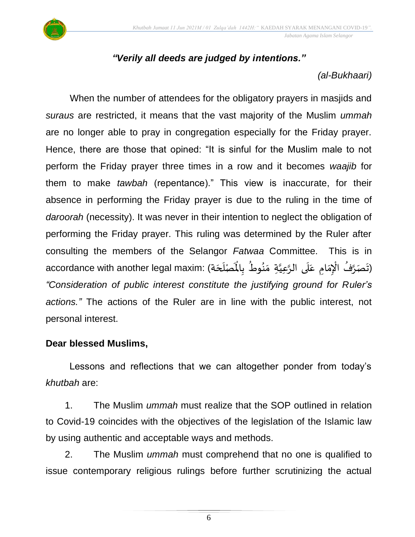

### *"Verily all deeds are judged by intentions."*

### *(al-Bukhaari)*

When the number of attendees for the obligatory prayers in masjids and *suraus* are restricted, it means that the vast majority of the Muslim *ummah* are no longer able to pray in congregation especially for the Friday prayer. Hence, there are those that opined: "It is sinful for the Muslim male to not perform the Friday prayer three times in a row and it becomes *waajib* for them to make *tawbah* (repentance)." This view is inaccurate, for their absence in performing the Friday prayer is due to the ruling in the time of *daroorah* (necessity). It was never in their intention to neglect the obligation of performing the Friday prayer. This ruling was determined by the Ruler after consulting the members of the Selangor *Fatwaa* Committee. This is in .<br>تَصَرَّفُ الْإِمَامِ عَلَى الرَّعِيَّةِ مَنُوطُ بِالْمَمْلَحَةِ) :accordance with another legal maxim  $\ddot{\phantom{0}}$ ُ è ْ ្ត ِ<br>م َ َ  $\frac{1}{2}$ ُ ֧֧֧֓֝֟֟֓֟֓֟֓֟֓֟֓֟֓֟֓֟֓֟֓֟֓֟֓֟֓֟֓֟֩֕֓֟ َّ<br>اُ ِ<br>التَصَرَّفُ الْإِمَامِ عَلَى الرَّعِيَّةِ مَنُوطُ بِالْمَصْلَحَة .<br>آ َ *"Consideration of public interest constitute the justifying ground for Ruler's actions."* The actions of the Ruler are in line with the public interest, not personal interest.

### **Dear blessed Muslims,**

Lessons and reflections that we can altogether ponder from today's *khutbah* are:

1. The Muslim *ummah* must realize that the SOP outlined in relation to Covid-19 coincides with the objectives of the legislation of the Islamic law by using authentic and acceptable ways and methods.

2. The Muslim *ummah* must comprehend that no one is qualified to issue contemporary religious rulings before further scrutinizing the actual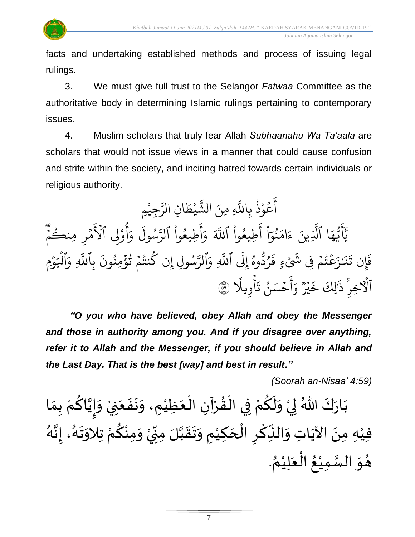

facts and undertaking established methods and process of issuing legal rulings.

3. We must give full trust to the Selangor *Fatwaa* Committee as the authoritative body in determining Islamic rulings pertaining to contemporary issues.

4. Muslim scholars that truly fear Allah *Subhaanahu Wa Ta'aala* are scholars that would not issue views in a manner that could cause confusion and strife within the society, and inciting hatred towards certain individuals or religious authority.

يم يجي ْ بر<br>م انِ الرَّ  $\tilde{\xi}$ ط ي ْ بر<br>ش لَّهِ مِنَ الشَّ عُوْذُ بِاللَّهِ و<br>ڊ **ٔ** و<br>م ِ<br>ج أ ا ِ<br>م ه و<br>د سَ<br>ڊ ِ<br>ج  $\overline{\mathcal{L}}$ ِ<br>د ي<br>يَأْتُهَا ٱلَّذِينَ لَّذِينَ ءَامَنُوٓا أَطِيعُوا ْ و<br>م ا<br>ج أ ْ ا ر<br>م بر<br>نمو ُ ِ<br>م ام ر<br>ء ءَامَنُوٓا أُطِيعُوا ا ذَ للَّهَ وَأَطِيعُوا ْ و<br>م ِ<br>ج أ ر<br>م وَأُطِيعُوا ا ا<br>آ ول س و<br>په ن<br>مت لرَّسُول وَأُوْلِي ْ م و<br>م أ ر<br>م وَأَوْلِي الاَمْرِ  $\frac{1}{2}$ ہ<br>م ځ لامْرِ مِنكُمْ  $\frac{1}{2}$ و َ إيَل وه و<br>م و<br>د ردّ و<br>'  $\ddot{\cdot}$ ُ<br>يَكۡتُمۡ فِی شَیۡءِ فَ **ء**  $\frac{1}{2}$ و<br>په ر<br>م ِ<br>نَـٰزَ بَز  $\ddot{\cdot}$ ين ت إ  $\ddot{\cdot}$ فَإِن تَنَـٰزَعۡتُمۡ فِي شَيۡءٍ فَرُدُّوهُ إِلَى اللَّهِ بة<br>أ رَّسُولِ إِن كُنتُمْ تُؤْمِنُونَ بِ و<br>. ند<br>مد وّال ِ<br>م للَّهِ .<br>\* إن كَنتُمْ تُؤْمِنُونَ بِاللَّهِ ُ ہ<br>ء و<br>په  $\frac{1}{2}$ و<br>به ر بة<br>أ وَٱلۡيَوۡمِ ِ<br>م للَّهِ وَالْيَوْمِ ہ<br>1 ٱلۡٱلۡخِرِّ ذَٰٰٓالِكَ خَيۡرٌ وَأَحۡسَـ  $\frac{1}{2}$ ِ<br>ج أ  $\tilde{\xi}$ و دوو<br>م دوو<br>پېر  $\tilde{\mathbf{z}}$ .<br>يالِكَ خَ  $\overline{a}$ ذَٰلِكَ خَيْرٌ وَاحْسَنُ ُ ا تَأْوِيلًا ۞ ۔<br>ءِ

*"O you who have believed, obey Allah and obey the Messenger and those in authority among you. And if you disagree over anything, refer it to Allah and the Messenger, if you should believe in Allah and the Last Day. That is the best [way] and best in result."*

*(Soorah an-Nisaa' 4:59)*

ْ بَارَكَ اللّهُ لِيْ وَلَكُمْ فِي الْقُرْآنِ الْعَظِيْمِ، وَنَفَعَنِيْ وَإِيَّاكُمْ بِمَا  $\ddot{\phantom{0}}$  $\ddot{\cdot}$  $\ddot{\phantom{0}}$  $\frac{1}{2}$ ់<br>រ  $\ddot{\phantom{0}}$ ْ ْ  $\frac{1}{2}$ ֦֧֦֧֦֧֦֧֝֟֓֓<u>֦</u> ْ <u>ل</u>  $\frac{1}{\epsilon}$  $\ddot{\ }$ ْ  $\frac{1}{2}$  $\ddot{\phantom{0}}$  $\frac{1}{\lambda}$ ៝<br>៹ ِ<br>م َ  $\frac{1}{2}$  $\frac{1}{2}$ ْ فيْهِ مِنَ الآيَاتِ وَالنِّكْرِ الْحَكِيْمِ وَتَقَبَّلَ مِنِّيْ وَمِنْكُمْ تِلاَوَتَهُ، إِنَّهُ  $\frac{1}{2}$ ْ י<br>ִי  $\sum$ ن<br>ا  $\frac{1}{2}$  $\frac{1}{2}$  $\frac{1}{2}$ ់<br>រ  $\overline{\phantom{a}}$ ֧֪֧֝֟֟֟֟֟֟֟֟֟֓֟֓֟֓֟֓֕֓֟֓֕֓֟֓֝  $\overline{\phantom{a}}$ ْ  $\ddot{\cdot}$ ۔<br>م ِ<br>پُ  $\ddot{\phantom{0}}$ ់<br>រ ر<br>ر े<br>इ  $\frac{1}{2}$ ر<br>پر  $\frac{1}{2}$  $\ddot{\ }$ ّ<br>ٌ <u>ل</u> . ُ هُوَ السَّمِيْعُ الْعَلِيْمُ ْ َ ْ ُ ់<br>រ ن<br>س  $\ddot{\ }$  $\frac{1}{2}$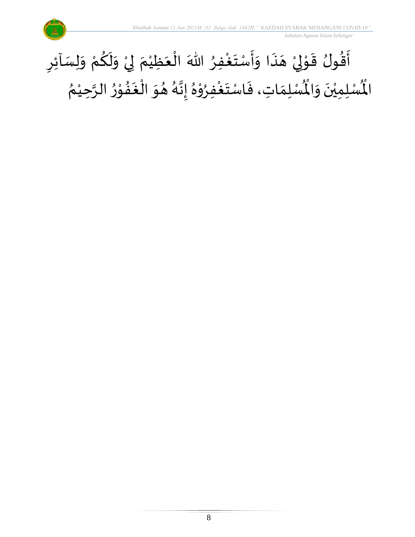

### $\sum$ أَقُولُ قَوْلِيْ هَذَا وَأَسْتَغْفِرُ اللّٰهَ الْعَظِيْمَ لِيْ وَلَكُمْ وَلِسَاْئِرِ  $\frac{1}{2}$ ْ ِ<br>م  $\tilde{\mathbf{r}}$  $\tilde{\cdot}$ ْ إ  $\frac{1}{\epsilon}$ ْ َ ْ ُِ<br>و  $\ddot{\phantom{0}}$  $\ddot{\cdot}$  $\frac{1}{2}$  $\ddot{\cdot}$  $\overline{\phantom{a}}$ ْ إ ֦֧֦  $\ddot{\phantom{0}}$  $\frac{1}{2}$  $\ddot{\phantom{0}}$ ُ ري<br>لْمُسْلِمَاتِ، فَاسْتَغْفِرُوْهُ إِنَّهُ هُوَ الْغَفُوْرُ الرَّحِيْمُ ់<br>រ ہ<br>پ بر<br>▲ ֦֧֦ **∗**<br>•  $\ddot{\phantom{0}}$ ا<br>ا  $\ddot{\phantom{0}}$ ُ د<br>گ  $\frac{1}{2}$  $\frac{1}{2}$ ِ<br>ٌ ֦֧֦֧֦ ٍ<br>ٌ ا<br>.<br>.  $\frac{1}{2}$  $\ddot{\cdot}$  $\frac{1}{2}$ رت<br>لْمُسْلِمِيْنَ وَالْمُ  $\ddot{\ }$  $\ddot{\phantom{0}}$ ْ اْل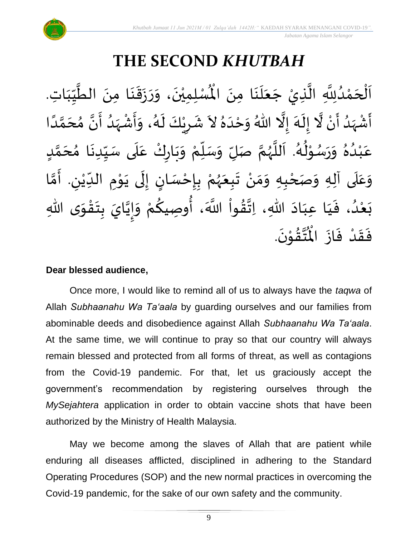

# **THE SECOND** *KHUTBAH*

لْمُسْلِمِيْنَ، وَرَزَقَنَا مِنَ الطَّيِّبَاتِ  $\frac{1}{1}$ しんこ  $\frac{1}{2}$ ل<br>محمد<br>ا  $\ddot{\phantom{0}}$  $\ddot{\phantom{0}}$  $\frac{1}{2}$  $\ddot{\phantom{0}}$  $\ddot{\phantom{0}}$  $\frac{1}{2}$  $\ddot{\phantom{0}}$ ْ اَلْحَمْدُلِلَّهِ الَّذِيْ جَعَلَنَا مِنَ الْمُسْلِمِيْنَ، وَرَزَقَنَا مِنَ الطَّيِّبَاتِ.  $\ddot{\phantom{0}}$  $\ddot{\phantom{0}}$ ِ<br>ا َ  $\overline{\phantom{a}}$ ل<br>ا ن<br>ا <br>ا ْ  $\overline{\phantom{a}}$ ֦֧֦֧֦֧֦֧֦֧֦֧֦֧֧֦֧֧֦֧֦֧֝֟֓֓֓֜֓֟֓֜֓֟֓֟֓֓<br>**֧**  $\frac{1}{2}$ ्<br>र أَشْهَدُ أَنْ لَّا إِلَهَ إِلَّا اللّهُ وَحْدَهُ لاَ شَرِيْكَ لَهُ، وَأَشْهَدُ أَنَّ مُحَمَّدًا ْ  $\ddot{\mathbf{z}}$  $\frac{1}{\sqrt{2}}$ َ<br>زار<br>ما ْ  $\sum_{i=1}^{n}$ ل<br>مجموع َ<br>بر  $\tilde{\cdot}$  $\frac{1}{2}$  $\ddot{\phantom{0}}$ ِ<br>پ  $\frac{1}{1}$  $\frac{1}{2}$ ً<br>ا ี้<br>ส ं<br>- $\frac{1}{2}$  $\frac{1}{2}$ ا<br>: <br>ا  $\frac{1}{2}$ ْ  $\frac{1}{2}$  $\tilde{\cdot}$ ر<br>گ  $\ddot{\phantom{0}}$ ْ  $\sum$  $\frac{1}{2}$ ِّ しんけい عَبْدُهُ وَرَسُوْلُهُ. اَللَّهُمَّ صَلِّ وَسَلِّمْ وَبَارِكْ عَلَى سَيِّدِنَا مُحَمَّدٍ ے<br>آ ِ<br>م ّ<br>وُ  $\ddot{\phantom{0}}$ بر<br>م ْ ِّ  $\overline{L}$  $\frac{1}{2}$ ี<br>จ ر<br>ر<br>ر ہ<br>ا م<br>آ ر<br>گ ء<br>ا≉ י<br>י ر<br>م  $\frac{1}{2}$  $\frac{1}{2}$ بر<br>▲ .<br>د ់<br>រ ِ<br>م  $\mathbf{r}$ ั<br>ั  $\overline{\phantom{a}}$ ๋<br>ጎ **ृ** وَعَلَى آلِهِ وَصَحْبِهِ وَمَنْ تَبِعَهُمْ بِإِحْسَانٍ إِلَى يَوْمِ الدِّيْنِ. أَمَّا  $\overline{\mathbf{1}}$  $\frac{1}{2}$  $\tilde{\cdot}$ ี<br>วั َ لي ْ ِّ  $\ddot{\phantom{0}}$ י<br>י  $\ddot{\phantom{0}}$  $\ddot{\phantom{0}}$ ل  $\frac{1}{2}$ )<br>=<br>= ֦֧֦֧֦֧<u>֦</u>  $\ddot{\cdot}$ ْ ر<br>ر<br>ر  $\ddot{\phantom{0}}$  $\ddot{\phantom{0}}$ ْ ์ $\frac{1}{2}$  $\frac{1}{2}$ ْ -<br>بَعْدُ، فَيَا عِبَادَ اللهِ، اِتَّقُواْ اللَّهَ، أُوصِيكُمْ وَإِيَّايَ بِتَقْوَى اللهِ  $\ddot{\ }$ ֦֧֦֧֦֧֝<u>֦</u>  $\ddot{\phantom{0}}$  $\ddot{\cdot}$ َ —<br>-<br>-<br>- $\frac{1}{2}$ ْ **∕**<br>م ُ<br>په<br>پنجاب نہ<br>ا  $\frac{1}{2}$  $\frac{1}{2}$  $\ddot{\phantom{0}}$  $\frac{1}{1}$  $\frac{1}{1}$  $\frac{1}{2}$ <br>ا ْ  $\ddot{\phantom{0}}$ .  $\ddot{\phantom{0}}$ تقۇنَ ֦֧֦֦֧֦֦֦֧֦֝֝֟֓<br>**֧**  $\frac{1}{2}$ ِ<br>ئى<br>ب  $\frac{1}{\sqrt{2}}$ فَقَدْ فَازَ الْمُ  $\ddot{\phantom{0}}$  $\ddot{\cdot}$ ْ  $\frac{1}{2}$  $\ddot{\cdot}$ 

### **Dear blessed audience,**

Once more, I would like to remind all of us to always have the *taqwa* of Allah *Subhaanahu Wa Ta'aala* by guarding ourselves and our families from abominable deeds and disobedience against Allah *Subhaanahu Wa Ta'aala*. At the same time, we will continue to pray so that our country will always remain blessed and protected from all forms of threat, as well as contagions from the Covid-19 pandemic. For that, let us graciously accept the government's recommendation by registering ourselves through the *MySejahtera* application in order to obtain vaccine shots that have been authorized by the Ministry of Health Malaysia.

May we become among the slaves of Allah that are patient while enduring all diseases afflicted, disciplined in adhering to the Standard Operating Procedures (SOP) and the new normal practices in overcoming the Covid-19 pandemic, for the sake of our own safety and the community.

9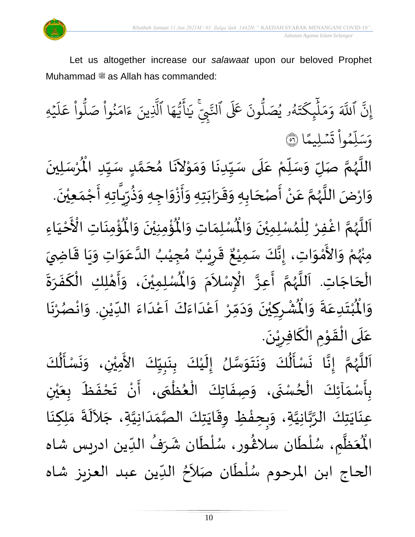



Let us altogether increase our *salawaat* upon our beloved Prophet Muhammad صلى الله عليه وسلم as Allah has commanded:

بہ<br>ج إِنَّ ا ذَ للَّهَ وَمَلْيِكْتَهُ و<br>لم  $\ddot{\cdot}$ ت ر<br>م يك ئ بر<br>آ  $\uplambda$ ر<br>م بر<br>م ر<br>م وَمَلَٰٓئٍكَتَهُۥ يُصَلُّونَ عَلَى ون و<br>ا يُصَلُّونَ عَلَى ٱلنَّبِيِّ و<br>د ي ي ֦ لتَّبِّيِّ ِ<br>بر يَايَّهَا ر<br>م ه و<br>ما سَ<br>ڊ ِ<br>ج أَيَّهَا ٱلَّذِينَ بة<br>1 لَّذِينَ ءَامَنُوا صَلُوا عَلَيْهِ ؚ<br>ٛ ر<br>آ  $\uplambda$ ِ<br>م ع وا ْ و<br>ا نُواْ صَلُّ ْ و<br>ڊ ر<br>م ام ्<br>द ء ا بە ن*َسْ*لِيمَّ  $\ddot{\phantom{0}}$  $\ddot{\cdot}$ ت <u>ہ</u> وا يم و<br>م .<br>آ ل ِ<br>س وَسَلِّمُواْ تَسْلِيمًا (َ ُ

اللَّهُمَّ صَلِّ وَسَلِّمْ عَلَى سَيِّدِنَا وَمَوْلاَنَا مُحَمَّدٍ سَيِّدِ الْمُرْسَلِينَ  $\ddot{\phantom{0}}$ ْ  $\mathbf{r}^{\circ}$ للَّهُمَّ صَلِّ وَسَلِّمْ عَلَى سَيِّدِنَا وَمَوْلاَنَا مُحَمَّدٍ سَيِّدِ الْمُ ِّ しんけい <u>لم</u> ี<br>ั<br>ุก  $\overline{\phantom{a}}$ ๋<br>ጎ  $\mathbf{r}$  $\tilde{\phantom{a}}$ י<br>י  $\frac{1}{2}$  $\frac{1}{2}$  $\ddot{\phantom{0}}$ ِّ  $\overline{\phantom{a}}$ ِ<br>م ْ ِ<br>ِّ  $\overline{L}$  $\frac{1}{2}$ ี<br>จ ر<br>ر<br>ر ہ<br>ا  $\tilde{\cdot}$ وَارْضَ اللَّهُمَّ عَنْ أَصْحَابِهِ وَقَرَابَتِهِ وَأَزْوَاجِهِ وَذُرِّيَّاتِهِ أَجْمَعِيْنَ. ່<br>: ׇ֧֪֪֪֪֓֝֬֝֝֝֝֝<br>֧֧֧֧֧֧֧֧֧֧֧֧֧֧֛֚֝֝֝֟֓֝֟֝֟֓֝֬֝֟֓֟֓֟֓֟֓֟֓֝֟֓֟֓֝֬֝֓֝֬֝֟֓֟֓֝֬֝֬֝֬֝֬֝֬֝֬֝  $\frac{1}{2}$  $\ddot{\ }$  $\frac{1}{2}$ ا<br>:<br>:  $\tilde{\phantom{a}}$  $\overline{\phantom{a}}$ ا<br>:<br>: ْ  $\frac{1}{2}$ ี<br>จ ر<br>ر<br>ر ें<br>बं  $\frac{1}{2}$ ़<br>-<br>• ْ  $\frac{1}{2}$ ֦֧֦֧֦֧<u>֦</u> -<br>:<br>: ً<br>ق  $\frac{1}{2}$ ر ءِ<br>په  $\frac{1}{2}$ ؙۏ۠ۄٮؘؘاتؚ  $\ddot{\phantom{0}}$ ْ<br>ئا  $\tilde{\mathbf{r}}$ ُؤْمِنِيْنَ وَالْمُ  $\tilde{\cdot}$  $\ddot{\phantom{0}}$ ْ ؚ<br>پا ُْ ِ<br>لْمُسْلِمَاتِ وَالْمُ  $\frac{1}{2}$  $\frac{1}{2}$ اَللَّهُمَّ اغْفِرْ لِلْمُسْلِمِيْنَ وَالْمُسْلِمَاتِ وَالْمُؤْمِنِيْنَ وَالْمُؤْمِنَاتِ  $\tilde{\cdot}$  $\ddot{\phantom{0}}$ ْ ›<br>ለ ់<br>**រ** ِ<br>و ี้<br>ถึ ر<br>ر<br>ر ہ<br>آ َ َ مَ<br>مع الْأَحْيَاءِ  $\frac{1}{1}$ ْ ْ مِنْهُمْ وَالأَمْوَاتِ، إِنَّكَ سَمِيْعٌ قَرِيْبٌ مُجِيْبُ الدَّعَوَاتِ وَيَا قَاضِيَ ُ<br>وُرُ ْ  $\ddot{\ }$ ់<br>ភ  $\frac{1}{2}$  $\frac{1}{2}$  $\frac{1}{2}$  $\ddot{\mathbf{r}}$  $\ddot{\phantom{0}}$  $\tilde{\cdot}$  $\ddot{\ }$ ِ<br>م ہ<br>ا ُ ْ  $\frac{1}{2}$ ه<br>فيل ي ر ق  $\sum$  $\frac{1}{2}$  $\frac{1}{2}$ ء<br>، إِنَّكَ سَمِيْعٌ ْ  $\frac{1}{2}$  $\frac{1}{2}$ الْحَاجَاتِ. اَللَّهُمَّ أَعِزَّ الْإِسْلاَمَ وَ  $\overline{\phantom{a}}$ ۔<br>∤  $\frac{1}{1}$ ر<br>آ ر<br>ر<br>ر ี<br>จั  $\frac{1}{2}$  $\frac{1}{2}$ .<br>ا∤ ्<br>र .<br>د  $\tilde{\cdot}$  $\bar{\ddot{\cdot}}$ الْمُسْلِمِيْنَ، وَأَهْلِكِ الْكَفَرَةَ ؙ<br>; ْ ي  $\ddot{\phantom{0}}$ **]∗**  $\frac{1}{2}$  $\frac{1}{2}$ َ ْ י<br>**י** ر<br>بن  $\tilde{\cdot}$ ُشْرِكِيْنَ وَدَمِّرْ اَعْدَاءَكَ اَعْدَاءَ اللِّيْنِ. وَانْصُرْنَا ر<br>.<br>. ْ ُمُ<br>م ْ  $\tilde{\cdot}$ لي ْ ِّ  $\frac{1}{2}$ ہ<br>د ّ<br>م  $\frac{1}{2}$ َ<br>و  $\frac{1}{2}$  $\frac{1}{1}$ ْ<br>م  $\overline{\phantom{a}}$ ֧֦֧֦֧֝<br>**֧**  $\frac{1}{2}$  $\sim$  $\frac{1}{2}$ ا<br>•<br>• ْ  $\overline{\phantom{a}}$ ْ  $\ddot{\hat{}}$ ُبْتَدِعَةً وَالْمُ  $\frac{1}{2}$  $\ddot{\cdot}$  $\frac{1}{2}$  $\ddot{\phantom{0}}$ ْ<br>ْ  $\ddot{\hat{}}$ اْل و  $\tilde{\cdot}$ .  $\ddot{\phantom{}}$ عَلَى الْقَوْمِ الْكَافِرِيْنَ ْ  $\overline{\phantom{a}}$ ∶<br>∽ `<br>أ  $\ddot{\phantom{0}}$ ֦֧֦֦֧֝<u>֚</u> الہ<br>معا ֫<br>֟֟**֝** ์ $\overline{\phantom{a}}$  $\frac{1}{2}$ 

ل<br>اَللَّهُمَّ إِنَّا نَسْأَلُكَ وَنَتَوَسَّلُ إِلَيْكَ بِنَبِيِّكَ الأَمِيْنِ، وَنَسْأَلُكَ ِّ  $\frac{1}{2}$ ا<br>با  $\ddot{\phantom{0}}$  $\ddot{\cdot}$ ْ  $\mathbf{r}$  $\frac{1}{2}$ ن<br>سا  $\ddot{\ }$  $\ddot{\phantom{0}}$  $\ddot{\phantom{0}}$  $\frac{1}{2}$ ُ<br>الج َ  $\ddot{\phantom{0}}$  $\frac{1}{2}$  $\frac{1}{2}$ ั<br>ถึ ر<br>ر<br>ر ً<br>ا  $\overline{\phantom{a}}$  $\tilde{\epsilon}$ ْ ُ<br>ا∲  $\ddot{\phantom{0}}$  $\ddot{\phantom{0}}$  $\frac{1}{2}$  $\ddot{\phantom{0}}$ .<br>بِأَسْمَآئِكَ الْحُسْنَى، وَصِفَاتِكَ الْعُظُمَى، أَنْ تَحْفَظَ بِعَيْنِ ِّدِ ֦֧֧֦֧֦֧֦֧֦֧֧֟֝֝֜֓֓<u>֚</u>  $\frac{1}{\alpha}$ ֚֬<br>֧֧֧֧֧֚֚֚֚֚֚֚֚֚֚֝֓֟֓֟֓֟֓֟֓֝֓֟֓֕֓֝֟֓֟֓֝֬֝֟ <u>ر</u><br>- $\frac{1}{2}$ ر<br>م }<br>• ֦֧֦֧֦֧֦֧֦֧֦֧֦֧֧֧֦֧֧֧֦֧֧֝֟֓֟֓֓֟֓֟֓֟֓֟֓֟֓֟֓֟֓֟֓֟֓֟֓֟֓֟֓֟֓֟֓֟֓֟֓֝֟֓֟֓֝֬֟֓֝֬֟֓֟֓֝֬<br>֧֜**֓**֧֧֧֧ׅ֓֝֟֟֡֟  $\ddot{\cdot}$  $\frac{1}{2}$ ْ ي  $\frac{1}{2}$ ر<br>م  $\ddot{\cdot}$  $\frac{1}{2}$ ْ  $\sum_{i=1}^{n}$ ِ<br>عِنَايَتِكَ الرَّبَّانِيَّةِ، وَبِحِفْظِ وِقَايَتِكَ الصَّمَدَانِيَّةِ، جَلاَلَةَ مَلِكِنَا ن<br>ا ہ<br>تہ<br>• ہ<br>پ  $\ddot{\phantom{0}}$  $\ddot{\phantom{0}}$  $\sim$ ن<br>ا  $\frac{1}{1}$  $\frac{1}{2}$ ر<br>ر<br>ر  $\frac{1}{2}$ ا<br>پو ֞**֚**  $\frac{1}{2}$  $\tilde{\cdot}$  $\ddot{\cdot}$ ِ<br>آباد  $\ddot{\phantom{0}}$  $\frac{1}{2}$ ؙعۡظٌمٖ ے<br>تا َ ر<br>مو الْمُعَظَّمِ، سُلْطَان سلَاڠُور، سُلْطَان شَرَفُ الدِّين ادريس شاه م<br>م ا<br>ا ر<br>ر, }<br>፟**፟**  $\frac{1}{1}$ ُ  $\mathbf{r}$ ر<br>م ٝ<br>ا .<br>م َالحاج ابن المرحوم سُلْطَان صَلاَحُ الدِّين عبد العزيز شاه `<br>أ ْ ُ<br>ُ  $\frac{1}{2}$ <sup>}</sup>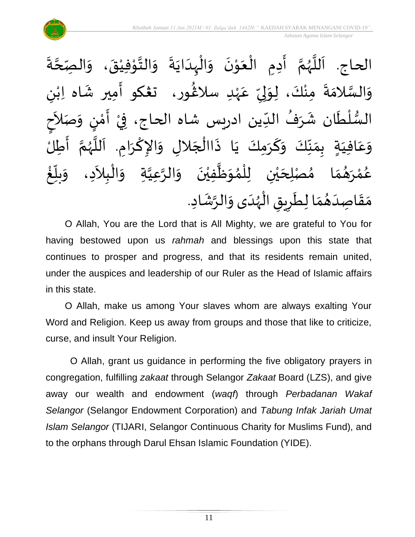

 $\ddot{\cdot}$ ة **ี**<br>ร ة<br>ح صِّ الحاج. اَللَّهُمَّ أَدِمِ الْعَوْنَ وَالْبِدَايَةَ وَالتَّوْفِيْقَ، وَال  $\frac{1}{2}$  $\ddot{\phantom{0}}$ ٝ<br>ؙ י<br>י  $\frac{1}{2}$  $\frac{1}{2}$  $\ddot{\cdot}$  $\ddot{\phantom{0}}$  $\frac{1}{1}$ ֦֧֦֧֦֧֦֧֦֧֦֧֧֝֟֓֟֓֓֟֓֟֓֟֓֟֓֟֓֟֓֟֓֟֓֟֓֟֓֟֓֟֓֟֓֟֓֝֟֓֟֓֝֬<br>֧֝֩֩**֓**֧֧֧֓֟֡֟֓֬֓֩֓֕֓֝֟֓  $\frac{1}{2}$  $\ddot{\phantom{0}}$ י<br>י  $\frac{1}{2}$ ֦֧֦֧֦֧֝<u>֦</u>  $\ddot{\phantom{0}}$  $\sum_{i=1}^{n}$ ี<br>จั ر<br>ر<br>ر ہ<br>آ َ ى<br>وَالسَّلامَةَ مِنْكَ، لِوَلِيِّ عَهْدِ سلاغُور، ت**ڠك**و أَمِير شَاه اِبْنِ ٝ<br>ۣ<br>ؙ ِ<br>م ِّ  $\frac{1}{2}$ إ  $\frac{1}{2}$ ْ  $\ddot{\cdot}$  $\frac{1}{2}$ ن<br>س  $\frac{1}{2}$ ر<br>شم ٝ<br>ؙ  $\frac{1}{2}$ َ السُّلْطَان شَرَفُ الدِّين ادريس شاه الحاج، فِيْ أَمْنٍ وَصَلاَحِ ِّ ُ  $\frac{1}{2}$  $\ddot{\phantom{0}}$ ْ  $\frac{3}{4}$  $\frac{1}{2}$ ْ <u>رِ</u> י<br>י ..<br>:<br>:  $\tilde{\phantom{a}}$  $\frac{1}{2}$ ।<br>ज حِ بِمَنِّكَ وَكَرَمِكَ يَا ذَاالْجَلالِ وَالإِكْرَامِ. اَللَّهُمَّ أَطِلُ ا<br>:<br>: ์<br>ถ .<br>پر<br>ر ب<br>تا َ  $\ddot{\phantom{0}}$ ا<br>با  $\tilde{\cdot}$  $\overline{\phantom{a}}$ ֦֧֧֦֧֦֧֦֧֦֧֧֟֝֝֜֓֓<u>֚</u>  $\ddot{\cdot}$  $\ddot{\phantom{0}}$ َ  $\tilde{\cdot}$ ِّ<br>ِ∙  $\frac{1}{2}$  $\sum_{i=1}^{n}$  $\frac{1}{1}$  في  $\overline{\mathsf{L}}$ ِ<br>م ع  $\ddot{\ }$ و  $\tilde{\phantom{a}}$ ا مُصْلِحَيْنِ لِلْمُوَظَّفِيْنَ وَالرَّعِيَّةِ وَالْبِلاَدِ، وَ ֦֧֦֧֦֧֝<u>֦</u> ا<br>ا ្វ<br>វ ہ<br>د ์  $\ddot{\phantom{0}}$ ْ  $\tilde{\mathbf{r}}$  $\frac{1}{2}$ ›<br>ለ ់<br>( ់<br> ي  $\overline{\phantom{a}}$  $\frac{1}{2}$  $\frac{1}{\lambda}$ م ़<br>ै و<br>گھ رَ ْ ه<br>لم ر<br>م ع ໍ່<br>່ غ ِّ<br>ا  $\frac{1}{2}$ بلاً  $\tilde{\cdot}$  $\frac{1}{1}$ مَقَاصِدَهُمَا لِطَرِيقِ الْهُدَى وَالرَّشَادِ. ر<br>ر<br>ر ֦֧֦֧֦֧֦֧֦֧֦֧֦֧֝֟֓֟֓֓֟֓֟֓֟֓֟֓֟֓֟֓֟֓֟֓֟֓֟֓֟֓֝֟֓<br>**֓**֓֡֡֡֘  $\overline{\phantom{a}}$ ا<br>م  $\frac{1}{2}$ ُ  $\frac{1}{1}$  $\frac{1}{2}$  $\frac{1}{2}$ .<br>په  $\tilde{\cdot}$ 

O Allah, You are the Lord that is All Mighty, we are grateful to You for having bestowed upon us *rahmah* and blessings upon this state that continues to prosper and progress, and that its residents remain united, under the auspices and leadership of our Ruler as the Head of Islamic affairs in this state.

O Allah, make us among Your slaves whom are always exalting Your Word and Religion. Keep us away from groups and those that like to criticize, curse, and insult Your Religion.

O Allah, grant us guidance in performing the five obligatory prayers in congregation, fulfilling *zakaat* through Selangor *Zakaat* Board (LZS), and give away our wealth and endowment (*waqf*) through *Perbadanan Wakaf Selangor* (Selangor Endowment Corporation) and *Tabung Infak Jariah Umat Islam Selangor* (TIJARI, Selangor Continuous Charity for Muslims Fund), and to the orphans through Darul Ehsan Islamic Foundation (YIDE).

11